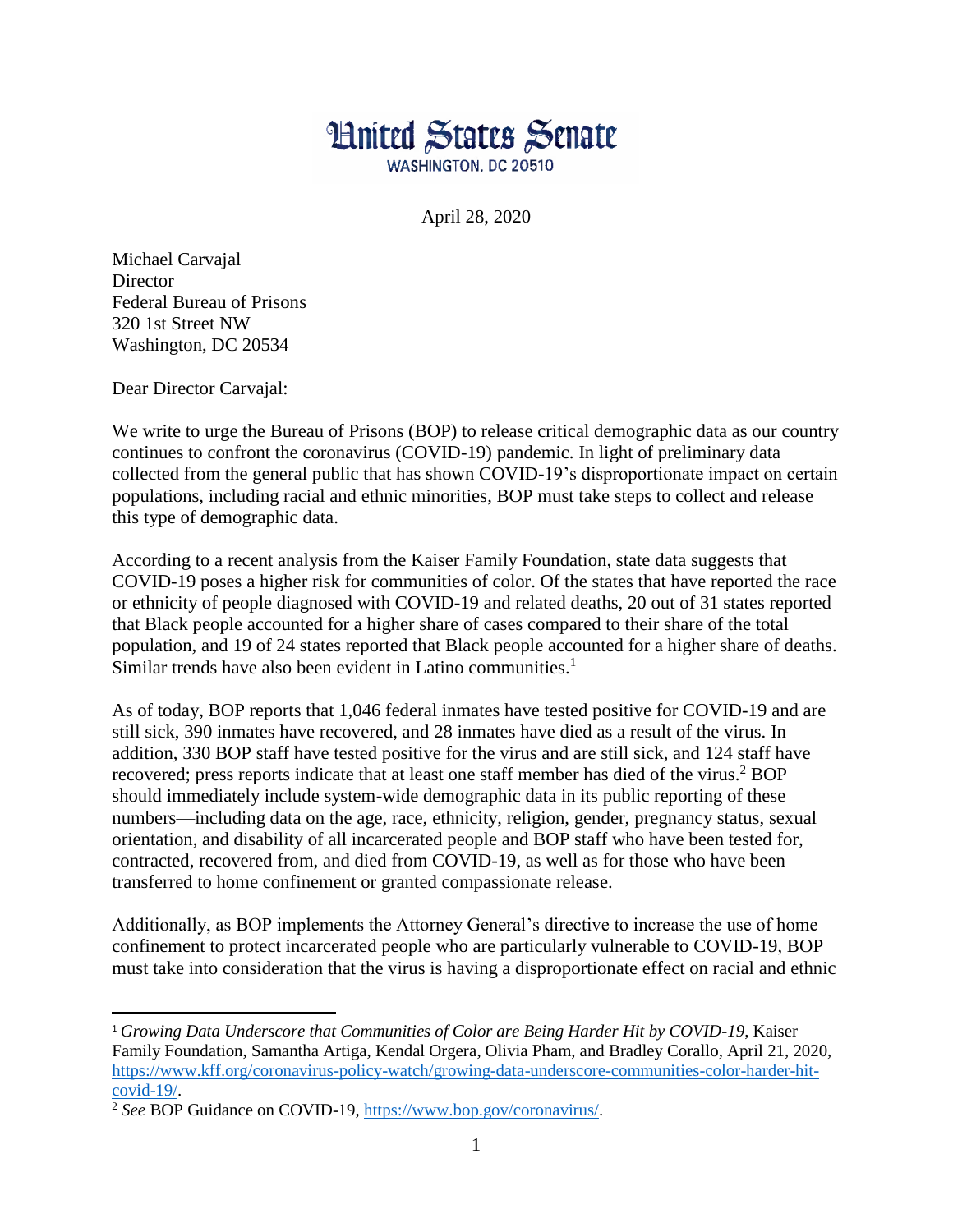

April 28, 2020

Michael Carvajal **Director** Federal Bureau of Prisons 320 1st Street NW Washington, DC 20534

Dear Director Carvajal:

 $\overline{a}$ 

We write to urge the Bureau of Prisons (BOP) to release critical demographic data as our country continues to confront the coronavirus (COVID-19) pandemic. In light of preliminary data collected from the general public that has shown COVID-19's disproportionate impact on certain populations, including racial and ethnic minorities, BOP must take steps to collect and release this type of demographic data.

According to a recent analysis from the Kaiser Family Foundation, state data suggests that COVID-19 poses a higher risk for communities of color. Of the states that have reported the race or ethnicity of people diagnosed with COVID-19 and related deaths, 20 out of 31 states reported that Black people accounted for a higher share of cases compared to their share of the total population, and 19 of 24 states reported that Black people accounted for a higher share of deaths. Similar trends have also been evident in Latino communities.<sup>1</sup>

As of today, BOP reports that 1,046 federal inmates have tested positive for COVID-19 and are still sick, 390 inmates have recovered, and 28 inmates have died as a result of the virus. In addition, 330 BOP staff have tested positive for the virus and are still sick, and 124 staff have recovered; press reports indicate that at least one staff member has died of the virus.<sup>2</sup> BOP should immediately include system-wide demographic data in its public reporting of these numbers—including data on the age, race, ethnicity, religion, gender, pregnancy status, sexual orientation, and disability of all incarcerated people and BOP staff who have been tested for, contracted, recovered from, and died from COVID-19, as well as for those who have been transferred to home confinement or granted compassionate release.

Additionally, as BOP implements the Attorney General's directive to increase the use of home confinement to protect incarcerated people who are particularly vulnerable to COVID-19, BOP must take into consideration that the virus is having a disproportionate effect on racial and ethnic

<sup>&</sup>lt;sup>1</sup> Growing Data Underscore that Communities of Color are Being Harder Hit by COVID-19, Kaiser Family Foundation, Samantha Artiga, Kendal Orgera, Olivia Pham, and Bradley Corallo, April 21, 2020, [https://www.kff.org/coronavirus-policy-watch/growing-data-underscore-communities-color-harder-hit](https://www.kff.org/coronavirus-policy-watch/growing-data-underscore-communities-color-harder-hit-covid-19/)[covid-19/.](https://www.kff.org/coronavirus-policy-watch/growing-data-underscore-communities-color-harder-hit-covid-19/)

<sup>2</sup> *See* BOP Guidance on COVID-19, [https://www.bop.gov/coronavirus/.](https://www.bop.gov/coronavirus/)